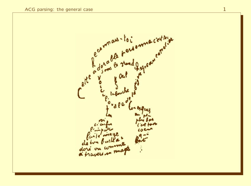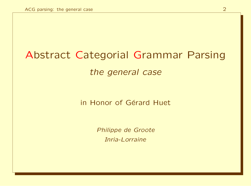# Abstract Categorial Grammar Parsing

the general case

in Honor of Gérard Huet

Philippe de Groote Inria-Lorraine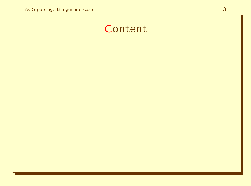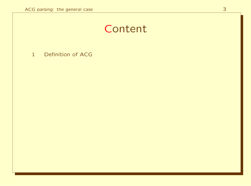1 Definition of ACG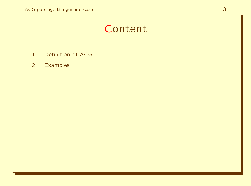- 1 Definition of ACG
- 2 Examples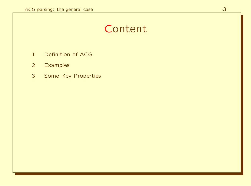- 1 Definition of ACG
- 2 Examples
- 3 Some Key Properties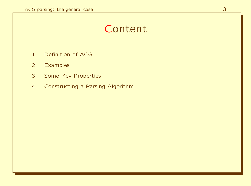- Definition of ACG
- Examples
- Some Key Properties
- Constructing a Parsing Algorithm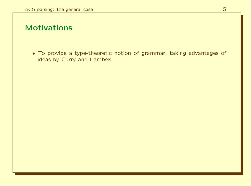• To provide a type-theoretic notion of grammar, taking advantages of ideas by Curry and Lambek.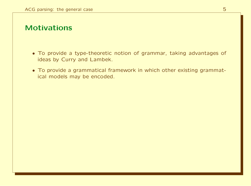- To provide a type-theoretic notion of grammar, taking advantages of ideas by Curry and Lambek.
- To provide a grammatical framework in which other existing grammatical models may be encoded.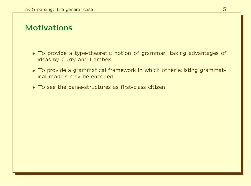- To provide a type-theoretic notion of grammar, taking advantages of ideas by Curry and Lambek.
- To provide a grammatical framework in which other existing grammatical models may be encoded.
- To see the parse-structures as first-class citizen.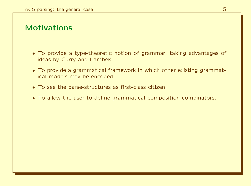- To provide a type-theoretic notion of grammar, taking advantages of ideas by Curry and Lambek.
- To provide a grammatical framework in which other existing grammatical models may be encoded.
- To see the parse-structures as first-class citizen.
- To allow the user to define grammatical composition combinators.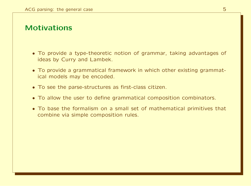- To provide a type-theoretic notion of grammar, taking advantages of ideas by Curry and Lambek.
- To provide a grammatical framework in which other existing grammatical models may be encoded.
- To see the parse-structures as first-class citizen.
- To allow the user to define grammatical composition combinators.
- To base the formalism on a small set of mathematical primitives that combine via simple composition rules.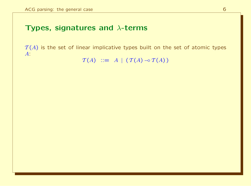$T(A)$  is the set of linear implicative types built on the set of atomic types A:

 $\mathcal{T}(A)$  ::= A |  $(\mathcal{T}(A) \neg \circ \mathcal{T}(A))$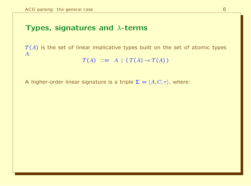$T(A)$  is the set of linear implicative types built on the set of atomic types A:

$$
\mathcal{T}(A) \quad ::= \quad A \mid (\mathcal{T}(A) \rightarrow \mathcal{T}(A))
$$

A higher-order linear signature is a triple  $\Sigma = \langle A, C, \tau \rangle$ , where: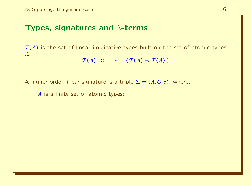$T(A)$  is the set of linear implicative types built on the set of atomic types A:

$$
\mathcal{T}(A) \quad ::= \quad A \mid (\mathcal{T}(A) \rightarrow \mathcal{T}(A))
$$

A higher-order linear signature is a triple  $\Sigma = \langle A, C, \tau \rangle$ , where:

A is a finite set of atomic types;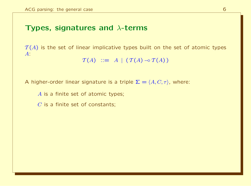$T(A)$  is the set of linear implicative types built on the set of atomic types A:

$$
\mathcal{T}(A) \quad ::= \quad A \mid (\mathcal{T}(A) \rightarrow \mathcal{T}(A))
$$

A higher-order linear signature is a triple  $\Sigma = \langle A, C, \tau \rangle$ , where:

A is a finite set of atomic types;

 $C$  is a finite set of constants;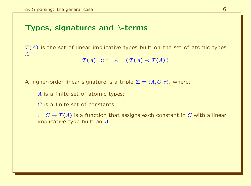$T(A)$  is the set of linear implicative types built on the set of atomic types A:

$$
\mathcal{T}(A) \ ::= \ A \ | \ (\mathcal{T}(A) \neg \circ \mathcal{T}(A))
$$

A higher-order linear signature is a triple  $\Sigma = \langle A, C, \tau \rangle$ , where:

A is a finite set of atomic types;

 $C$  is a finite set of constants;

 $\tau: C \to \mathcal{T}(A)$  is a function that assigns each constant in C with a linear implicative type built on A.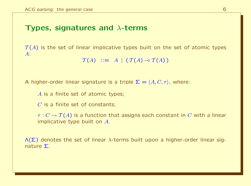$T(A)$  is the set of linear implicative types built on the set of atomic types A:

$$
\mathcal{T}(A) \ ::= \ A \ | \ (\mathcal{T}(A) \neg \circ \mathcal{T}(A))
$$

A higher-order linear signature is a triple  $\Sigma = \langle A, C, \tau \rangle$ , where:

A is a finite set of atomic types;

 $C$  is a finite set of constants;

 $\tau: C \to \mathcal{T}(A)$  is a function that assigns each constant in C with a linear implicative type built on A.

 $\Lambda(\Sigma)$  denotes the set of linear  $\lambda$ -terms built upon a higher-order linear signature Σ.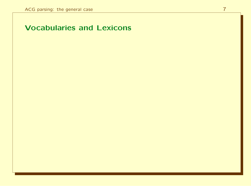# Vocabularies and Lexicons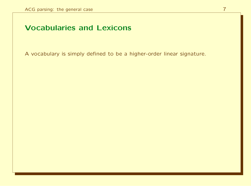### Vocabularies and Lexicons

A vocabulary is simply defined to be a higher-order linear signature.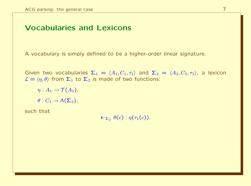#### Vocabularies and Lexicons

A vocabulary is simply defined to be a higher-order linear signature.

Given two vocabularies  $\Sigma_1 = \langle A_1, C_1, \tau_1 \rangle$  and  $\Sigma_2 = \langle A_2, C_2, \tau_2 \rangle$ , a lexicon  $\mathcal{L} = \langle \eta, \theta \rangle$  from  $\Sigma_1$  to  $\Sigma_2$  is made of two functions:

 $\eta: A_1 \to \mathcal{T}(A_2)$ ,

 $\theta: C_1 \to \Lambda(\Sigma_2)$ ,

such that

 $\vdash_{\Sigma_2} \theta(c)$  :  $\eta(\tau_1(c))$ .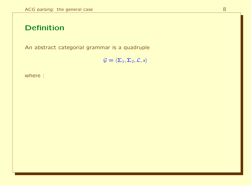An abstract categorial grammar is a quadruple

 $\mathcal{G} = \langle \Sigma_1, \Sigma_2, \mathcal{L}, s \rangle$ 

where :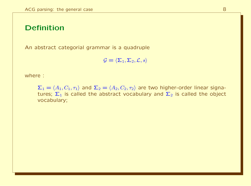An abstract categorial grammar is a quadruple

 $\mathcal{G} = \langle \Sigma_1, \Sigma_2, \mathcal{L}, s \rangle$ 

where :

 $\Sigma_1 = \langle A_1, C_1, \tau_1 \rangle$  and  $\Sigma_2 = \langle A_2, C_2, \tau_2 \rangle$  are two higher-order linear signatures;  $\Sigma_1$  is called the abstract vocabulary and  $\Sigma_2$  is called the object vocabulary;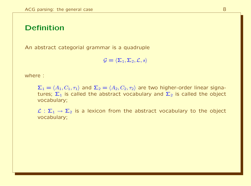An abstract categorial grammar is a quadruple

 $\mathcal{G} = \langle \Sigma_1, \Sigma_2, \mathcal{L}, s \rangle$ 

where :

 $\Sigma_1 = \langle A_1, C_1, \tau_1 \rangle$  and  $\Sigma_2 = \langle A_2, C_2, \tau_2 \rangle$  are two higher-order linear signatures;  $\Sigma_1$  is called the abstract vocabulary and  $\Sigma_2$  is called the object vocabulary;

 $\mathcal{L}: \Sigma_1 \to \Sigma_2$  is a lexicon from the abstract vocabulary to the object vocabulary;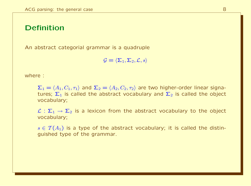An abstract categorial grammar is a quadruple

 $\mathcal{G} = \langle \Sigma_1, \Sigma_2, \mathcal{L}, s \rangle$ 

where :

 $\Sigma_1 = \langle A_1, C_1, \tau_1 \rangle$  and  $\Sigma_2 = \langle A_2, C_2, \tau_2 \rangle$  are two higher-order linear signatures;  $\Sigma_1$  is called the abstract vocabulary and  $\Sigma_2$  is called the object vocabulary;

 $\mathcal{L} : \Sigma_1 \to \Sigma_2$  is a lexicon from the abstract vocabulary to the object vocabulary;

 $s \in \mathcal{T}(A_1)$  is a type of the abstract vocabulary; it is called the distinguished type of the grammar.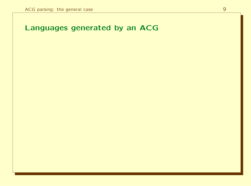### Languages generated by an ACG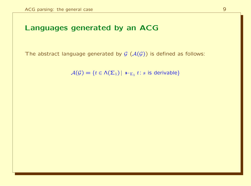#### Languages generated by an ACG

The abstract language generated by  $G(\mathcal{A}(G))$  is defined as follows:

 $\mathcal{A}(\mathcal{G}) = \{t \in \mathcal{N}(\mathsf{\Sigma}_1) \, | \, \mathsf{L}_{\mathsf{\Sigma}_1} t : s \text{ is derivable}\}$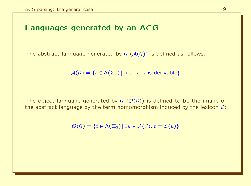#### Languages generated by an ACG

The abstract language generated by  $G(\mathcal{A}(G))$  is defined as follows:

$$
\mathcal{A}(\mathcal{G}) = \{ t \in \Lambda(\Sigma_1) \mid \mathsf{L}_{\Sigma_1} t : s \text{ is derivable} \}
$$

The object language generated by  $G(\mathcal{O}(G))$  is defined to be the image of the abstract language by the term homomorphism induced by the lexicon  $\mathcal{L}$ :

 $\mathcal{O}(\mathcal{G}) = \{t \in \Lambda(\Sigma_2) | \exists u \in \mathcal{A}(\mathcal{G}), t = \mathcal{L}(u)\}\$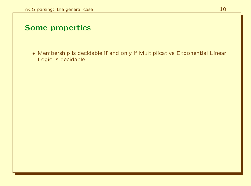• Membership is decidable if and only if Multiplicative Exponential Linear Logic is decidable.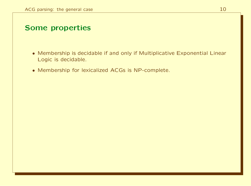- Membership is decidable if and only if Multiplicative Exponential Linear Logic is decidable.
- Membership for lexicalized ACGs is NP-complete.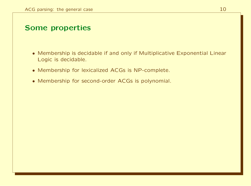- Membership is decidable if and only if Multiplicative Exponential Linear Logic is decidable.
- Membership for lexicalized ACGs is NP-complete.
- Membership for second-order ACGs is polynomial.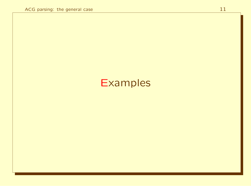# **Examples**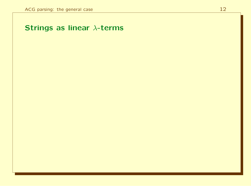# Strings as linear λ-terms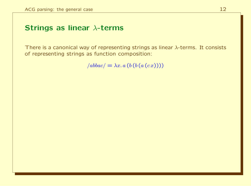### Strings as linear λ-terms

There is a canonical way of representing strings as linear  $\lambda$ -terms. It consists of representing strings as function composition:

 $/abbac / = \lambda x. a (b (b (a (c x))))$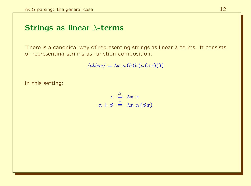#### Strings as linear λ-terms

There is a canonical way of representing strings as linear  $\lambda$ -terms. It consists of representing strings as function composition:

 $/abbac / = \lambda x. a (b (b (a (c x))))$ 

In this setting:

 $\epsilon \stackrel{\triangle}{=} \lambda x. x$  $\alpha + \beta \stackrel{\triangle}{=} \lambda x.\, \alpha \, (\beta x)$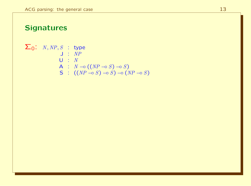$$
\Sigma_0: N, NP, S : type
$$
  
\nJ : NP  
\nU : N  
\nA : N \to ((NP \to S) \to S)  
\nS : ((NP \to S) \to S) \to (NP \to S)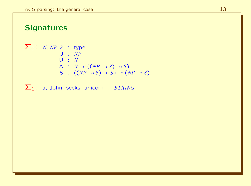$$
\Sigma_0: N, NP, S : type
$$
\n
$$
J: NP
$$
\n
$$
U: N
$$
\n
$$
A: N \rightarrow ((NP \rightarrow S) \rightarrow S)
$$
\n
$$
S: ((NP \rightarrow S) \rightarrow S) \rightarrow (NP \rightarrow S)
$$

 $\Sigma_1$ : a, John, seeks, unicorn :  $STRING$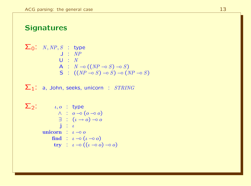$$
\Sigma_0: N, NP, S: type
$$
\n
$$
J: NP
$$
\n
$$
U: N
$$
\n
$$
A: N \rightarrow ((NP \rightarrow S) \rightarrow S)
$$
\n
$$
S: ((NP \rightarrow S) \rightarrow S) \rightarrow (NP \rightarrow S)
$$

 $\Sigma_1$ : a, John, seeks, unicorn :  $STRING$ 

$$
\Sigma_2: \qquad \begin{array}{c} \iota, o \; : \; \text{type} \\ \wedge \; : \; o \multimap (o \multimap o) \\ \exists \; : \; (\iota \to o) \multimap o \\ \mathbf{j} \; : \; \iota \\ \text{uniform} \; : \; \iota \multimap o \\ \text{find} \; : \; \iota \multimap (\iota \multimap o) \\ \text{try} \; : \; \iota \multimap ((\iota \multimap o) \multimap o) \end{array}
$$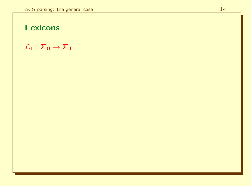# $\mathcal{L}_1 : \Sigma_0 \rightarrow \Sigma_1$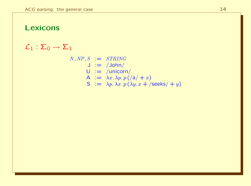# $\mathcal{L}_1 : \Sigma_0 \to \Sigma_1$

 $N, NP, S := STRING$  $J :=$  /John/  $U :=$ /unicorn/ A :=  $\lambda x.\lambda p. p\left(\frac{a}{+x}\right)$ S :=  $\lambda p. \lambda x. p(\lambda y. x + /seeks/ + y)$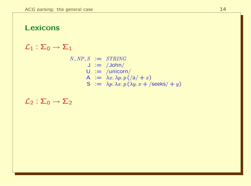#### $\mathcal{L}_1 : \Sigma_0 \to \Sigma_1$

 $N, NP, S := STRING$  $J := /John/$  $U :=$ /unicorn/ A  $:= \lambda x. \lambda p. p \left( \frac{\lambda}{4} + x \right)$  $S := \lambda p. \lambda x. p(\lambda y. x + \beta \text{seeks}( + y)$ 

#### $\mathcal{L}_2 : \Sigma_0 \rightarrow \Sigma_2$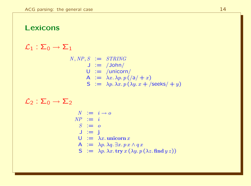### $\mathcal{L}_1 : \Sigma_0 \to \Sigma_1$

 $N, NP, S := STRING$  $J := /John/$  $U :=$ /unicorn/ A  $:= \lambda x. \lambda p. p \left( \frac{\lambda}{4} + x \right)$  $S := \lambda p. \lambda x. p(\lambda y. x + \text{/seeks/} + y)$ 

 $\mathcal{L}_2 : \Sigma_0 \rightarrow \Sigma_2$ 

 $N := i \rightarrow o$  $NP := i$  $S := o$  $J := i$  $U := \lambda x$ . unicorn x A  $:= \lambda p. \lambda q. \exists x. p \, x \wedge q \, x$  $S := \lambda p. \lambda x.$  try  $x (\lambda y. p (\lambda z. \text{find } y z))$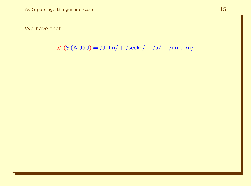```
\mathcal{L}_1(S(A\cup) J) = /John/ + /seeks/ + /a/ + /unicorn/
```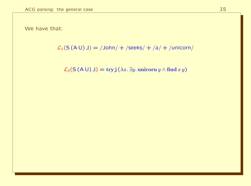$$
\mathcal{L}_1(S(A\cup J)) = /John/ + /seeks/ + /a/ + /unicorn/
$$

 $\mathcal{L}_2(S(A \cup) \cup) = \text{try } j(\lambda x. \exists y. \text{ union } y \wedge \text{find } x y)$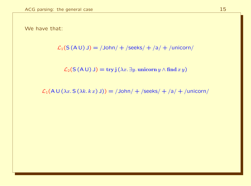$$
\mathcal{L}_1(S(A\cup)J) = /John/ + /seeks/ + /a/ + /unicorn/
$$

 $\mathcal{L}_2(S(A \cup) \cup) = \text{try } j(\lambda x. \exists y. \text{ union } y \wedge \text{find } x y)$ 

 $\mathcal{L}_1(A \cup (\lambda x. S(\lambda k. k x) J)) = /John/ + /seeks/ + /a/ + /union$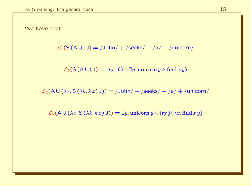$$
\mathcal{L}_1(S(A\cup)J) = /John/ + /seeks/ + /a/ + /unicorn/
$$

 $\mathcal{L}_2(S(A \cup J)) = \text{try } j(\lambda x. \exists y. \text{ union } y \wedge \text{find } x y)$ 

 $\mathcal{L}_1(A \cup (\lambda x. S (\lambda k. k x) J)) = /John/ + /seeks/ + /a/ + /unicorn/$ 

 $\mathcal{L}_2(A \cup (\lambda x. S \, (\lambda k. k x) \, J)) = \exists y.$  unicorn  $y \wedge \text{try } j(\lambda x. \text{ find } x y)$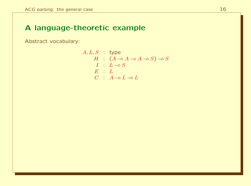Abstract vocabulary:

$$
A, L, S : type
$$
  
\n
$$
H : (A \multimap A \multimap A \multimap S) \multimap S
$$
  
\n
$$
I : L \multimap S
$$
  
\n
$$
E : L
$$
  
\n
$$
C : A \multimap L \multimap L
$$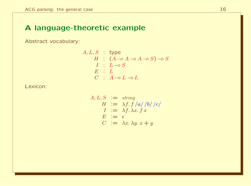Abstract vocabulary:

$$
A, L, S : type
$$
  
\n
$$
H : (A \neg A \neg A \neg S) \neg S
$$
  
\n
$$
I : L \neg S
$$
  
\n
$$
E : L
$$
  
\n
$$
C : A \neg D - L
$$

Lexicon:

$$
A, L, S := string
$$
  
\n
$$
H := \lambda f. f /a / \frac{b}{c}
$$
  
\n
$$
I := \lambda f. \lambda x. fx
$$
  
\n
$$
E := \epsilon
$$
  
\n
$$
C := \lambda x. \lambda y. x + y
$$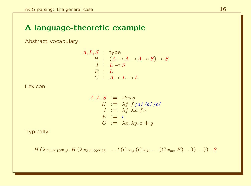Abstract vocabulary:

$$
\begin{array}{lcl}A,L,S & : \text{ type } \\ H & : & (A \multimap A \multimap A \multimap S) \multimap S \\ I & : & L \multimap S \\ E & : & L \\ C & : & A \multimap L \multimap L \end{array}
$$

Lexicon:

$$
A, L, S := string
$$
  
\n
$$
H := \lambda f. f /a / b / c /
$$
  
\n
$$
I := \lambda f. \lambda x. f x
$$
  
\n
$$
E := \epsilon
$$
  
\n
$$
C := \lambda x. \lambda y. x + y
$$

Typically:

 $H(\lambda x_{11}x_{12}x_{13}. H(\lambda x_{21}x_{22}x_{23}. ... I(C x_{ij}(C x_{kl} ... (C x_{mn} E)...))...)): S$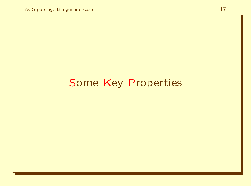# Some Key Properties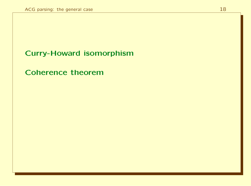Coherence theorem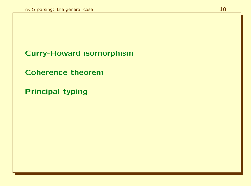Coherence theorem

Principal typing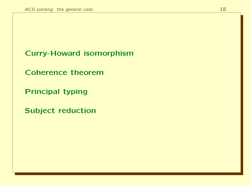Coherence theorem

Principal typing

Subject reduction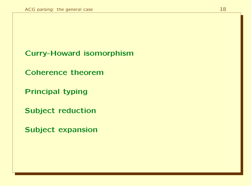Coherence theorem

Principal typing

Subject reduction

Subject expansion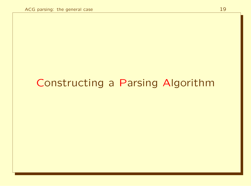# Constructing a Parsing Algorithm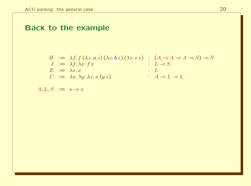# Back to the example

$$
H := \lambda f \cdot f (\lambda z. a z) (\lambda z. b z) (\lambda z. c z) : (A \neg A \neg A \neg B) \neg B
$$
  
\n
$$
I := \lambda f \cdot \lambda x. f x : L \neg B
$$
  
\n
$$
E := \lambda x. x : L
$$
  
\n
$$
C := \lambda x. \lambda y. \lambda z. x (y z) : A \neg B \neg D
$$

$$
A, L, S \ \ := \ s \multimap s
$$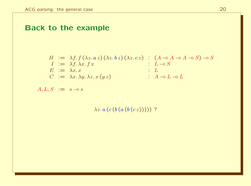# Back to the example

$$
H := \lambda f \cdot f (\lambda z. a z) (\lambda z. b z) (\lambda z. c z) : (A \neg A \neg A \neg B) \neg B
$$
  
\n
$$
I := \lambda f \cdot \lambda x. f x : L \neg B
$$
  
\n
$$
E := \lambda x. x : L
$$
  
\n
$$
C := \lambda x. \lambda y. \lambda z. x (y z) : A \neg B \neg D
$$

$$
A, L, S \ \ := \ s \multimap s
$$

 $\lambda z. a (c (b (a (b (c z))))$ ?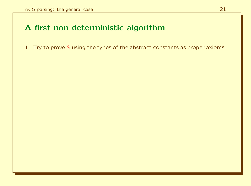1. Try to prove  $S$  using the types of the abstract constants as proper axioms.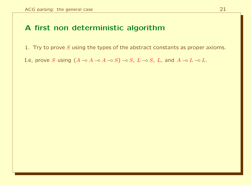1. Try to prove  $S$  using the types of the abstract constants as proper axioms.

I.e, prove S using  $(A \neg \circ A \neg \circ A \neg \circ S) \neg \circ S$ ,  $L \neg \circ S$ ,  $L$ , and  $A \neg \circ L \neg \circ L$ .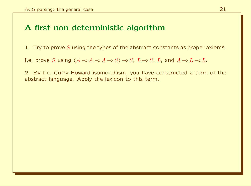1. Try to prove  $S$  using the types of the abstract constants as proper axioms.

I.e, prove S using  $(A \neg \circ A \neg \circ A \neg \circ S) \neg \circ S$ ,  $L \neg \circ S$ ,  $L$ , and  $A \neg \circ L \neg \circ L$ .

2. By the Curry-Howard isomorphism, you have constructed a term of the abstract language. Apply the lexicon to this term.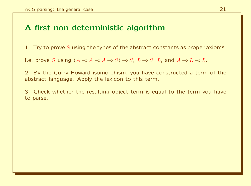#### A first non deterministic algorithm

1. Try to prove S using the types of the abstract constants as proper axioms.

I.e, prove S using  $(A \neg o\ A \neg o\ A \neg o\ S) \neg o\ S$ ,  $L \neg o\ S$ , L, and  $A \neg o\ L \neg o\ L$ .

2. By the Curry-Howard isomorphism, you have constructed a term of the abstract language. Apply the lexicon to this term.

3. Check whether the resulting object term is equal to the term you have to parse.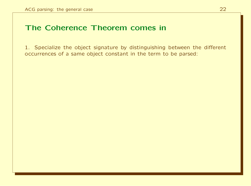1. Specialize the object signature by distinguishing between the different occurrences of a same object constant in the term to be parsed: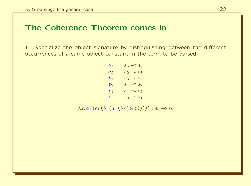1. Specialize the object signature by distinguishing between the different occurrences of a same object constant in the term to be parsed:

> $a_1$  :  $s_5 \to s_6$  $a_2$  :  $s_2 \to s_3$  $b_1$  :  $s_3 \rightarrow s_4$  $b_2$  :  $s_1 \neg o s_2$  $c_1$  :  $s_4 \to s_5$  $c_2$  :  $s_0 \to s_1$

 $\lambda z. a_1 (c_1 (b_1 (a_2 (b_2 (c_2 z))))): s_0 \rightarrow s_6$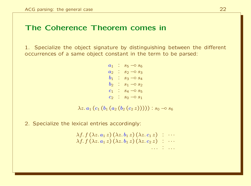1. Specialize the object signature by distinguishing between the different occurrences of a same object constant in the term to be parsed:

> $a_1$  :  $s_5 \to s_6$  $a_2$  :  $s_2 \to s_3$  $b_1$  :  $s_3 \to s_4$  $b_2$  :  $s_1 \neg o s_2$  $c_1$  :  $s_4 \to s_5$  $c_2$  :  $s_0 \to s_1$

 $\lambda z. a_1 (c_1 (b_1 (a_2 (b_2 (c_2 z))))): s_0 -\infty s_6$ 

2. Specialize the lexical entries accordingly:

 $\lambda$ f. f  $(\lambda z. a_1 z) (\lambda z. b_1 z) (\lambda z. c_1 z)$ :  $\cdots$  $\lambda f. f(\lambda z. a_1 z) (\lambda z. b_1 z) (\lambda z. c_2 z)$  :  $\cdots$ . . . : . . .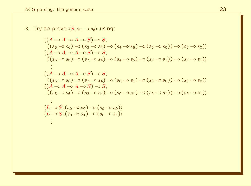3. Try to prove 
$$
\langle S, s_0 \rightarrow s_6 \rangle
$$
 using:  
\n $\langle (A \rightarrow A \rightarrow A \rightarrow S) \rightarrow S,$   
\n $((s_5 \rightarrow s_6) \rightarrow (s_3 \rightarrow s_4) \rightarrow (s_4 \rightarrow s_5) \rightarrow (s_0 \rightarrow s_0)) \rightarrow (s_0 \rightarrow s_0) \rangle$   
\n $\langle (A \rightarrow A \rightarrow A \rightarrow S) \rightarrow S,$   
\n $((s_5 \rightarrow s_6) \rightarrow (s_3 \rightarrow s_4) \rightarrow (s_4 \rightarrow s_5) \rightarrow (s_0 \rightarrow s_1)) \rightarrow (s_0 \rightarrow s_1) \rangle$   
\n $\vdots$   
\n $\langle (A \rightarrow A \rightarrow A \rightarrow S) \rightarrow S,$   
\n $((s_5 \rightarrow s_6) \rightarrow (s_3 \rightarrow s_4) \rightarrow (s_0 \rightarrow s_1) \rightarrow (s_0 \rightarrow s_0)) \rightarrow (s_0 \rightarrow s_0) \rangle$   
\n $\langle (A \rightarrow A \rightarrow A \rightarrow S) \rightarrow S,$   
\n $((s_5 \rightarrow s_6) \rightarrow (s_3 \rightarrow s_4) \rightarrow (s_0 \rightarrow s_1) \rightarrow (s_0 \rightarrow s_1)) \rightarrow (s_0 \rightarrow s_1) \rangle$   
\n $\vdots$   
\n $\langle L \rightarrow S, (s_0 \rightarrow s_0) \rightarrow (s_0 \rightarrow s_0) \rangle$   
\n $\langle L \rightarrow S, (s_0 \rightarrow s_1) \rightarrow (s_0 \rightarrow s_1) \rangle$   
\n $\vdots$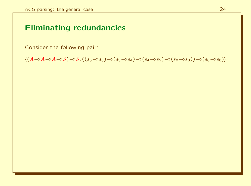### Eliminating redundancies

Consider the following pair:

 $\langle (A\rightarrow A\rightarrow A\rightarrow S) \rightarrow S, ((s_5\rightarrow s_6)\rightarrow (s_3\rightarrow s_4)\rightarrow (s_4\rightarrow s_5)\rightarrow (s_0\rightarrow s_0))\rightarrow (s_0\rightarrow s_0)\rangle$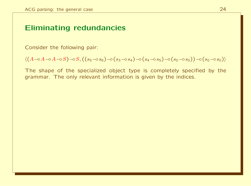#### Eliminating redundancies

Consider the following pair:

$$
\langle (A-\circ A-\circ A-\circ S)-\circ S, ((s_5-\circ s_6)-\circ (s_3-s_4)-\circ (s_4-\circ s_5)-\circ (s_0-s_0))-\circ (s_0-s_0) \rangle
$$

The shape of the specialized object type is completely specified by the grammar. The only relevant information is given by the indices.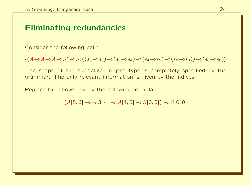#### Eliminating redundancies

Consider the following pair:

$$
\langle (A-\circ A-\circ A-\circ S)-\circ S, ((s_5-\circ s_6)-\circ (s_3-s_4)-\circ (s_4-\circ s_5)-\circ (s_0-s_0))-\circ (s_0-s_0) \rangle
$$

The shape of the specialized object type is completely specified by the grammar. The only relevant information is given by the indices.

Replace the above pair by the following formula:

 $(A[5, 6] \rightarrow A[3, 4] \rightarrow A[4, 5] \rightarrow S[0, 0]) \rightarrow S[0, 0]$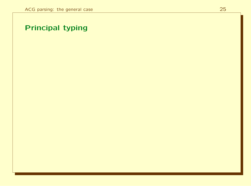# Principal typing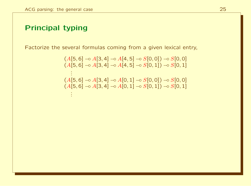## Principal typing

Factorize the several formulas coming from a given lexical entry,

$$
(A[5,6] \rightarrow A[3,4] \rightarrow A[4,5] \rightarrow S[0,0]) \rightarrow S[0,0]
$$
  
\n
$$
(A[5,6] \rightarrow A[3,4] \rightarrow A[4,5] \rightarrow S[0,1]) \rightarrow S[0,1]
$$
  
\n:  
\n
$$
(A[5,6] \rightarrow A[3,4] \rightarrow A[0,1] \rightarrow S[0,0]) \rightarrow S[0,0]
$$
  
\n
$$
(A[5,6] \rightarrow A[3,4] \rightarrow A[0,1] \rightarrow S[0,0]) \rightarrow S[0,0]
$$
  
\n
$$
(A[5,6] \rightarrow A[3,4] \rightarrow A[0,1] \rightarrow S[0,1]) \rightarrow S[0,1]
$$
  
\n:  
\n: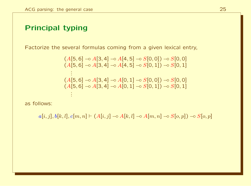## Principal typing

Factorize the several formulas coming from a given lexical entry,

$$
(A[5,6] \rightarrow A[3,4] \rightarrow A[4,5] \rightarrow S[0,0]) \rightarrow S[0,0]
$$
  
\n
$$
(A[5,6] \rightarrow A[3,4] \rightarrow A[4,5] \rightarrow S[0,1]) \rightarrow S[0,1]
$$
  
\n:  
\n
$$
(A[5,6] \rightarrow A[3,4] \rightarrow A[0,1] \rightarrow S[0,0]) \rightarrow S[0,0]
$$
  
\n
$$
(A[5,6] \rightarrow A[3,4] \rightarrow A[0,1] \rightarrow S[0,0]) \rightarrow S[0,0]
$$
  
\n
$$
(A[5,6] \rightarrow A[3,4] \rightarrow A[0,1] \rightarrow S[0,1]) \rightarrow S[0,1]
$$
  
\n:  
\n:

as follows:

$$
a[i, j], b[k, l], c[m, n] \vdash (A[i, j] \rightarrow A[k, l] \rightarrow A[m, n] \rightarrow S[o, p]) \rightarrow S[o, p]
$$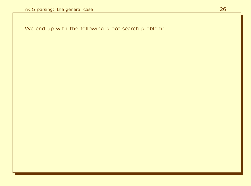We end up with the following proof search problem: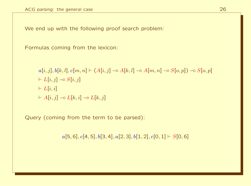We end up with the following proof search problem:

Formulas coming from the lexicon:

$$
a[i,j], b[k,l], c[m,n] \vdash (A[i,j] \multimap A[k,l] \multimap A[m,n] \multimap S[o,p]) \multimap S[o,p]
$$
  
\n
$$
\vdash L[i,j] \multimap S[i,j]
$$
  
\n
$$
\vdash L[i,i]
$$
  
\n
$$
\vdash A[i,j] \multimap L[k,i] \multimap L[k,j]
$$

Query (coming from the term to be parsed):

 $a[5, 6], c[4, 5], b[3, 4], a[2, 3], b[1, 2], c[0, 1] \vdash S[0, 6]$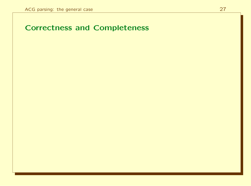## Correctness and Completeness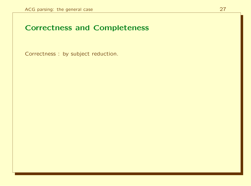#### Correctness and Completeness

Correctness : by subject reduction.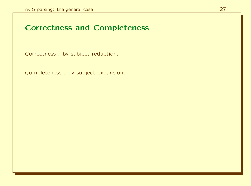#### Correctness and Completeness

Correctness : by subject reduction.

Completeness : by subject expansion.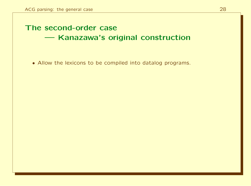• Allow the lexicons to be compiled into datalog programs.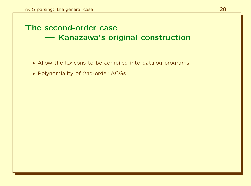- Allow the lexicons to be compiled into datalog programs.
- Polynomiality of 2nd-order ACGs.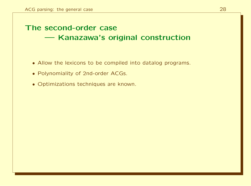- Allow the lexicons to be compiled into datalog programs.
- Polynomiality of 2nd-order ACGs.
- Optimizations techniques are known.